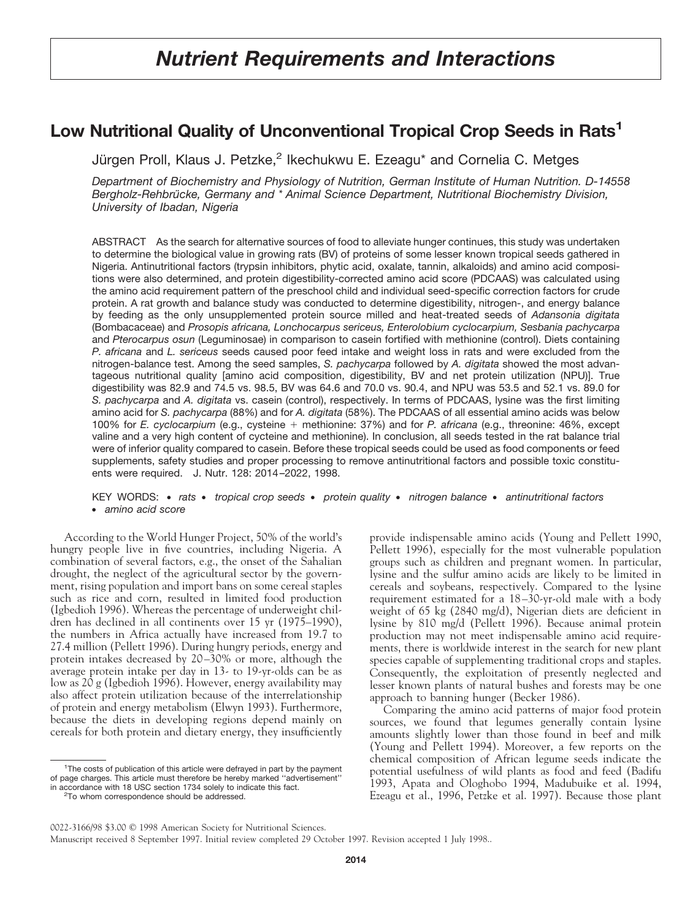# *Nutrient Requirements and Interactions*

## Low Nutritional Quality of Unconventional Tropical Crop Seeds in Rats<sup>1</sup>

Jürgen Proll, Klaus J. Petzke,<sup>2</sup> Ikechukwu E. Ezeagu<sup>\*</sup> and Cornelia C. Metges

*Department of Biochemistry and Physiology of Nutrition, German Institute of Human Nutrition. D-14558* Bergholz-Rehbrücke, Germany and \* Animal Science Department, Nutritional Biochemistry Division, *University of Ibadan, Nigeria*

ABSTRACT As the search for alternative sources of food to alleviate hunger continues, this study was undertaken to determine the biological value in growing rats (BV) of proteins of some lesser known tropical seeds gathered in Nigeria. Antinutritional factors (trypsin inhibitors, phytic acid, oxalate, tannin, alkaloids) and amino acid compositions were also determined, and protein digestibility-corrected amino acid score (PDCAAS) was calculated using the amino acid requirement pattern of the preschool child and individual seed-specific correction factors for crude protein. A rat growth and balance study was conducted to determine digestibility, nitrogen-, and energy balance by feeding as the only unsupplemented protein source milled and heat-treated seeds of *Adansonia digitata* (Bombacaceae) and *Prosopis africana, Lonchocarpus sericeus, Enterolobium cyclocarpium, Sesbania pachycarpa* and *Pterocarpus osun* (Leguminosae) in comparison to casein fortified with methionine (control). Diets containing *P. africana* and *L. sericeus* seeds caused poor feed intake and weight loss in rats and were excluded from the nitrogen-balance test. Among the seed samples, *S. pachycarpa* followed by *A. digitata* showed the most advantageous nutritional quality [amino acid composition, digestibility, BV and net protein utilization (NPU)]. True digestibility was 82.9 and 74.5 vs. 98.5, BV was 64.6 and 70.0 vs. 90.4, and NPU was 53.5 and 52.1 vs. 89.0 for *S. pachycarpa* and *A. digitata* vs. casein (control), respectively. In terms of PDCAAS, lysine was the first limiting amino acid for *S. pachycarpa* (88%) and for *A. digitata* (58%). The PDCAAS of all essential amino acids was below 100% for *E. cyclocarpium* (e.g., cysteine + methionine: 37%) and for *P. africana* (e.g., threonine: 46%, except valine and a very high content of cycteine and methionine). In conclusion, all seeds tested in the rat balance trial were of inferior quality compared to casein. Before these tropical seeds could be used as food components or feed supplements, safety studies and proper processing to remove antinutritional factors and possible toxic constituents were required. J. Nutr. 128: 2014–2022, 1998.

## KEY WORDS: ● *rats* ● *tropical crop seeds* ● *protein quality* ● *nitrogen balance* ● *antinutritional factors* ● *amino acid score*

According to the World Hunger Project, 50% of the world's hungry people live in five countries, including Nigeria. A combination of several factors, e.g., the onset of the Sahalian drought, the neglect of the agricultural sector by the government, rising population and import bans on some cereal staples such as rice and corn, resulted in limited food production (Igbedioh 1996). Whereas the percentage of underweight children has declined in all continents over 15 yr (1975–1990), the numbers in Africa actually have increased from 19.7 to 27.4 million (Pellett 1996). During hungry periods, energy and protein intakes decreased by 20–30% or more, although the average protein intake per day in 13- to 19-yr-olds can be as low as  $20$  g (Igbedioh 1996). However, energy availability may also affect protein utilization because of the interrelationship of protein and energy metabolism (Elwyn 1993). Furthermore, because the diets in developing regions depend mainly on cereals for both protein and dietary energy, they insufficiently

<sup>2</sup>To whom correspondence should be addressed.

provide indispensable amino acids (Young and Pellett 1990, Pellett 1996), especially for the most vulnerable population groups such as children and pregnant women. In particular, lysine and the sulfur amino acids are likely to be limited in cereals and soybeans, respectively. Compared to the lysine requirement estimated for a 18–30-yr-old male with a body weight of 65 kg (2840 mg/d), Nigerian diets are deficient in lysine by 810 mg/d (Pellett 1996). Because animal protein production may not meet indispensable amino acid requirements, there is worldwide interest in the search for new plant species capable of supplementing traditional crops and staples. Consequently, the exploitation of presently neglected and lesser known plants of natural bushes and forests may be one approach to banning hunger (Becker 1986).

Comparing the amino acid patterns of major food protein sources, we found that legumes generally contain lysine amounts slightly lower than those found in beef and milk (Young and Pellett 1994). Moreover, a few reports on the chemical composition of African legume seeds indicate the potential usefulness of wild plants as food and feed (Badifu 1993, Apata and Ologhobo 1994, Madubuike et al. 1994, Ezeagu et al., 1996, Petzke et al. 1997). Because those plant

<sup>&</sup>lt;sup>1</sup>The costs of publication of this article were defrayed in part by the payment of page charges. This article must therefore be hereby marked ''advertisement'' in accordance with 18 USC section 1734 solely to indicate this fact.

<sup>0022-3166/98 \$3.00 © 1998</sup> American Society for Nutritional Sciences. Manuscript received 8 September 1997. Initial review completed 29 October 1997. Revision accepted 1 July 1998..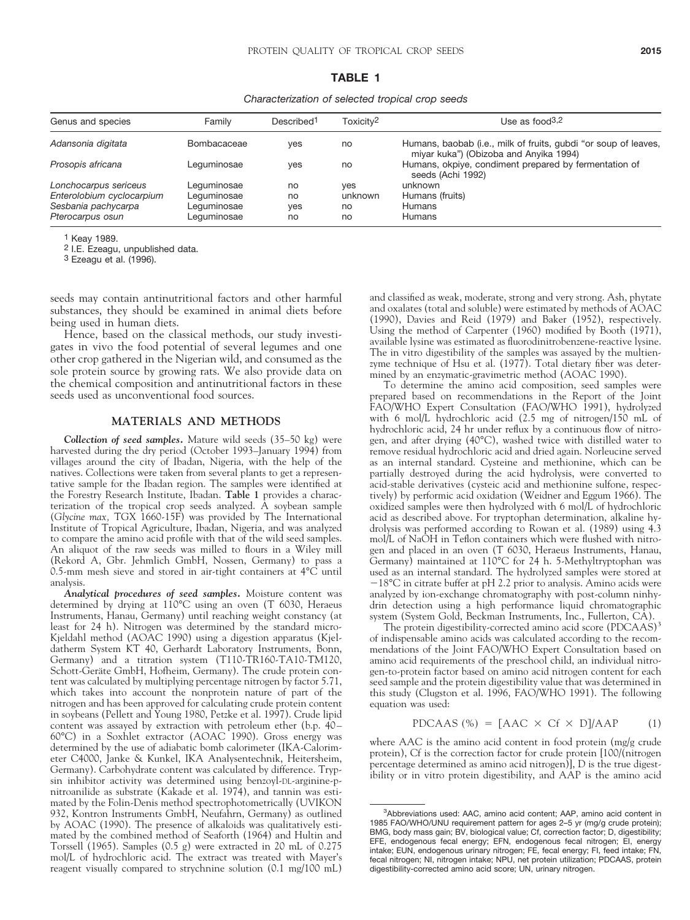*Characterization of selected tropical crop seeds*

| Genus and species         | Family      | Described <sup>1</sup> | Toxicity <sup>2</sup> | Use as $food3,2$                                                                                          |
|---------------------------|-------------|------------------------|-----------------------|-----------------------------------------------------------------------------------------------------------|
| Adansonia digitata        | Bombacaceae | yes                    | no                    | Humans, baobab (i.e., milk of fruits, gubdi "or soup of leaves,<br>miyar kuka") (Obizoba and Anyika 1994) |
| Prosopis africana         | Leguminosae | yes                    | no                    | Humans, okpive, condiment prepared by fermentation of<br>seeds (Achi 1992)                                |
| Lonchocarpus sericeus     | Leguminosae | no                     | ves                   | unknown                                                                                                   |
| Enterolobium cyclocarpium | Leguminosae | no                     | unknown               | Humans (fruits)                                                                                           |
| Sesbania pachycarpa       | Leguminosae | yes                    | no                    | <b>Humans</b>                                                                                             |
| Pterocarpus osun          | Leguminosae | no                     | no                    | <b>Humans</b>                                                                                             |

1 Keay 1989.

2 I.E. Ezeagu, unpublished data.

3 Ezeagu et al. (1996).

seeds may contain antinutritional factors and other harmful substances, they should be examined in animal diets before being used in human diets.

Hence, based on the classical methods, our study investigates in vivo the food potential of several legumes and one other crop gathered in the Nigerian wild, and consumed as the sole protein source by growing rats. We also provide data on the chemical composition and antinutritional factors in these seeds used as unconventional food sources.

## **MATERIALS AND METHODS**

*Collection of seed samples.* Mature wild seeds (35–50 kg) were harvested during the dry period (October 1993–January 1994) from villages around the city of Ibadan, Nigeria, with the help of the natives. Collections were taken from several plants to get a representative sample for the Ibadan region. The samples were identified at the Forestry Research Institute, Ibadan. **Table 1** provides a characterization of the tropical crop seeds analyzed. A soybean sample (*Glycine max,* TGX 1660-15F) was provided by The International Institute of Tropical Agriculture, Ibadan, Nigeria, and was analyzed to compare the amino acid profile with that of the wild seed samples. An aliquot of the raw seeds was milled to flours in a Wiley mill (Rekord A, Gbr. Jehmlich GmbH, Nossen, Germany) to pass a 0.5-mm mesh sieve and stored in air-tight containers at 4°C until analysis.

*Analytical procedures of seed samples.* Moisture content was determined by drying at 110°C using an oven (T 6030, Heraeus Instruments, Hanau, Germany) until reaching weight constancy (at least for 24 h). Nitrogen was determined by the standard micro-Kjeldahl method (AOAC 1990) using a digestion apparatus (Kjeldatherm System KT 40, Gerhardt Laboratory Instruments, Bonn, Germany) and a titration system (T110-TR160-TA10-TM120, Schott-Geräte GmbH, Hofheim, Germany). The crude protein content was calculated by multiplying percentage nitrogen by factor 5.71, which takes into account the nonprotein nature of part of the nitrogen and has been approved for calculating crude protein content in soybeans (Pellett and Young 1980, Petzke et al. 1997). Crude lipid content was assayed by extraction with petroleum ether (b.p. 40– 60°C) in a Soxhlet extractor (AOAC 1990). Gross energy was determined by the use of adiabatic bomb calorimeter (IKA-Calorimeter C4000, Janke & Kunkel, IKA Analysentechnik, Heitersheim, Germany). Carbohydrate content was calculated by difference. Trypsin inhibitor activity was determined using benzoyl-DL-arginine-pnitroanilide as substrate (Kakade et al. 1974), and tannin was estimated by the Folin-Denis method spectrophotometrically (UVIKON 932, Kontron Instruments GmbH, Neufahrn, Germany) as outlined by AOAC (1990). The presence of alkaloids was qualitatively estimated by the combined method of Seaforth (1964) and Hultin and Torssell (1965). Samples (0.5 g) were extracted in 20 mL of 0.275 mol/L of hydrochloric acid. The extract was treated with Mayer's reagent visually compared to strychnine solution (0.1 mg/100 mL) and classified as weak, moderate, strong and very strong. Ash, phytate and oxalates (total and soluble) were estimated by methods of AOAC (1990), Davies and Reid (1979) and Baker (1952), respectively. Using the method of Carpenter (1960) modified by Booth (1971), available lysine was estimated as fluorodinitrobenzene-reactive lysine. The in vitro digestibility of the samples was assayed by the multienzyme technique of Hsu et al. (1977). Total dietary fiber was determined by an enzymatic-gravimetric method (AOAC 1990).

To determine the amino acid composition, seed samples were prepared based on recommendations in the Report of the Joint FAO/WHO Expert Consultation (FAO/WHO 1991), hydrolyzed with 6 mol/L hydrochloric acid (2.5 mg of nitrogen/150 mL of hydrochloric acid, 24 hr under reflux by a continuous flow of nitrogen, and after drying (40°C), washed twice with distilled water to remove residual hydrochloric acid and dried again. Norleucine served as an internal standard. Cysteine and methionine, which can be partially destroyed during the acid hydrolysis, were converted to acid-stable derivatives (cysteic acid and methionine sulfone, respectively) by performic acid oxidation (Weidner and Eggum 1966). The oxidized samples were then hydrolyzed with 6 mol/L of hydrochloric acid as described above. For tryptophan determination, alkaline hydrolysis was performed according to Rowan et al. (1989) using 4.3 mol/L of NaOH in Teflon containers which were flushed with nitrogen and placed in an oven (T 6030, Heraeus Instruments, Hanau, Germany) maintained at 110°C for 24 h. 5-Methyltryptophan was used as an internal standard. The hydrolyzed samples were stored at  $-18$ °C in citrate buffer at pH 2.2 prior to analysis. Amino acids were analyzed by ion-exchange chromatography with post-column ninhydrin detection using a high performance liquid chromatographic system (System Gold, Beckman Instruments, Inc., Fullerton, CA).

The protein digestibility-corrected amino acid score (PDCAAS)<sup>3</sup> of indispensable amino acids was calculated according to the recommendations of the Joint FAO/WHO Expert Consultation based on amino acid requirements of the preschool child, an individual nitrogen-to-protein factor based on amino acid nitrogen content for each seed sample and the protein digestibility value that was determined in this study (Clugston et al. 1996, FAO/WHO 1991). The following equation was used:

$$
PDCAAS \text{ } (\%) = [AAC \times Cf \times D]/AAP \qquad (1)
$$

where AAC is the amino acid content in food protein (mg/g crude protein), Cf is the correction factor for crude protein [100/(nitrogen percentage determined as amino acid nitrogen)], D is the true digestibility or in vitro protein digestibility, and AAP is the amino acid

<sup>3</sup> Abbreviations used: AAC, amino acid content; AAP, amino acid content in 1985 FAO/WHO/UNU requirement pattern for ages 2–5 yr (mg/g crude protein); BMG, body mass gain; BV, biological value; Cf, correction factor; D, digestibility; EFE, endogenous fecal energy; EFN, endogenous fecal nitrogen; EI, energy intake; EUN, endogenous urinary nitrogen; FE, fecal energy; FI, feed intake; FN, fecal nitrogen; NI, nitrogen intake; NPU, net protein utilization; PDCAAS, protein digestibility-corrected amino acid score; UN, urinary nitrogen.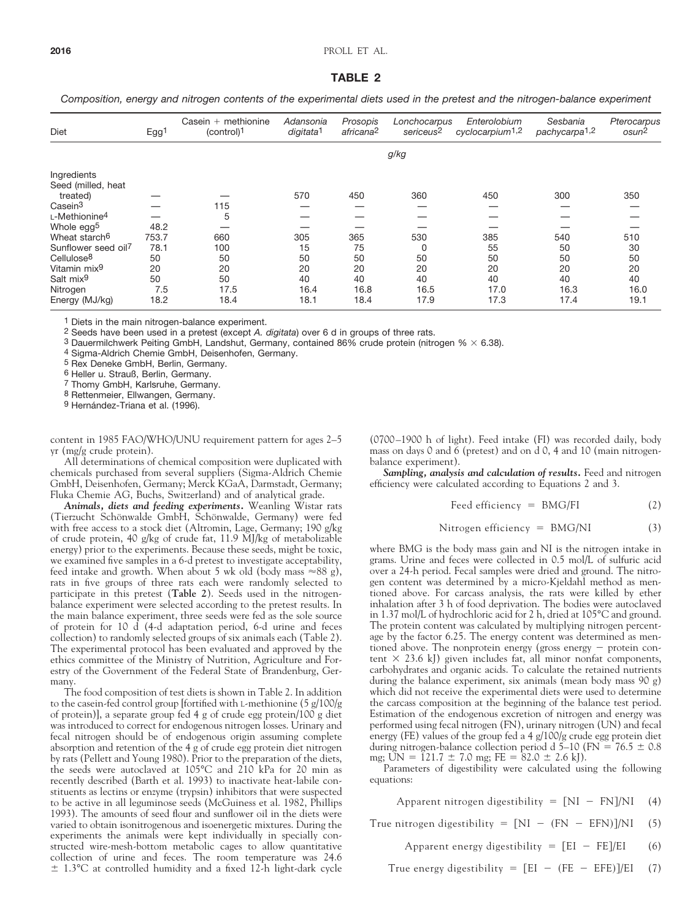*Composition, energy and nitrogen contents of the experimental diets used in the pretest and the nitrogen-balance experiment*

| Diet                      | Egg1  | Casein $+$ methionine<br>(control)1 | Adansonia<br>digitata <sup>1</sup> | Prosopis<br>africana <sup>2</sup> | Lonchocarpus<br>sericeus <sup>2</sup> | Enterolobium<br>cyclocarpium <sup>1,2</sup> | Sesbania<br>pachycarpa <sup>1,2</sup> | Pterocarpus<br>osun <sup>2</sup> |
|---------------------------|-------|-------------------------------------|------------------------------------|-----------------------------------|---------------------------------------|---------------------------------------------|---------------------------------------|----------------------------------|
|                           |       |                                     |                                    |                                   | g/kg                                  |                                             |                                       |                                  |
| Ingredients               |       |                                     |                                    |                                   |                                       |                                             |                                       |                                  |
| Seed (milled, heat        |       |                                     |                                    |                                   |                                       |                                             |                                       |                                  |
| treated)                  |       |                                     | 570                                | 450                               | 360                                   | 450                                         | 300                                   | 350                              |
| Casein <sup>3</sup>       |       | 115                                 |                                    |                                   |                                       |                                             |                                       |                                  |
| L-Methionine <sup>4</sup> |       | 5                                   |                                    |                                   |                                       |                                             |                                       |                                  |
| Whole egg <sup>5</sup>    | 48.2  |                                     |                                    |                                   |                                       |                                             |                                       |                                  |
| Wheat starch <sup>6</sup> | 753.7 | 660                                 | 305                                | 365                               | 530                                   | 385                                         | 540                                   | 510                              |
| Sunflower seed oil7       | 78.1  | 100                                 | 15                                 | 75                                | 0                                     | 55                                          | 50                                    | 30                               |
| Cellulose <sup>8</sup>    | 50    | 50                                  | 50                                 | 50                                | 50                                    | 50                                          | 50                                    | 50                               |
| Vitamin mix <sup>9</sup>  | 20    | 20                                  | 20                                 | 20                                | 20                                    | 20                                          | 20                                    | 20                               |
| Salt mix <sup>9</sup>     | 50    | 50                                  | 40                                 | 40                                | 40                                    | 40                                          | 40                                    | 40                               |
| Nitrogen                  | 7.5   | 17.5                                | 16.4                               | 16.8                              | 16.5                                  | 17.0                                        | 16.3                                  | 16.0                             |
| Energy (MJ/kg)            | 18.2  | 18.4                                | 18.1                               | 18.4                              | 17.9                                  | 17.3                                        | 17.4                                  | 19.1                             |

1 Diets in the main nitrogen-balance experiment.

2 Seeds have been used in a pretest (except *A. digitata*) over 6 d in groups of three rats.

3 Dauermilchwerk Peiting GmbH, Landshut, Germany, contained 86% crude protein (nitrogen  $% \times 6.38$ ).

4 Sigma-Aldrich Chemie GmbH, Deisenhofen, Germany.

5 Rex Deneke GmbH, Berlin, Germany.

6 Heller u. Strauß, Berlin, Germany.

7 Thomy GmbH, Karlsruhe, Germany.

8 Rettenmeier, Ellwangen, Germany.

9 Hernández-Triana et al. (1996).

content in 1985 FAO/WHO/UNU requirement pattern for ages 2–5 yr (mg/g crude protein).

All determinations of chemical composition were duplicated with chemicals purchased from several suppliers (Sigma-Aldrich Chemie GmbH, Deisenhofen, Germany; Merck KGaA, Darmstadt, Germany; Fluka Chemie AG, Buchs, Switzerland) and of analytical grade.

*Animals, diets and feeding experiments.* Weanling Wistar rats (Tierzucht Schönwalde GmbH, Schönwalde, Germany) were fed with free access to a stock diet (Altromin, Lage, Germany; 190 g/kg of crude protein, 40 g/kg of crude fat, 11.9 MJ/kg of metabolizable energy) prior to the experiments. Because these seeds, might be toxic, we examined five samples in a 6-d pretest to investigate acceptability, feed intake and growth. When about 5 wk old (body mass  $\approx 88$  g), rats in five groups of three rats each were randomly selected to participate in this pretest (**Table 2**). Seeds used in the nitrogenbalance experiment were selected according to the pretest results. In the main balance experiment, three seeds were fed as the sole source of protein for 10 d (4-d adaptation period, 6-d urine and feces collection) to randomly selected groups of six animals each (Table 2). The experimental protocol has been evaluated and approved by the ethics committee of the Ministry of Nutrition, Agriculture and Forestry of the Government of the Federal State of Brandenburg, Germany.

The food composition of test diets is shown in Table 2. In addition to the casein-fed control group [fortified with L-methionine (5 g/100/g of protein)], a separate group fed 4 g of crude egg protein/100 g diet was introduced to correct for endogenous nitrogen losses. Urinary and fecal nitrogen should be of endogenous origin assuming complete absorption and retention of the 4 g of crude egg protein diet nitrogen by rats (Pellett and Young 1980). Prior to the preparation of the diets, the seeds were autoclaved at 105°C and 210 kPa for 20 min as recently described (Barth et al. 1993) to inactivate heat-labile constituents as lectins or enzyme (trypsin) inhibitors that were suspected to be active in all leguminose seeds (McGuiness et al. 1982, Phillips 1993). The amounts of seed flour and sunflower oil in the diets were varied to obtain isonitrogenous and isoenergetic mixtures. During the experiments the animals were kept individually in specially constructed wire-mesh-bottom metabolic cages to allow quantitative collection of urine and feces. The room temperature was 24.6  $\pm$  1.3°C at controlled humidity and a fixed 12-h light-dark cycle (0700–1900 h of light). Feed intake (FI) was recorded daily, body mass on days 0 and 6 (pretest) and on d 0, 4 and 10 (main nitrogenbalance experiment).

*Sampling, analysis and calculation of results.* Feed and nitrogen efficiency were calculated according to Equations 2 and 3.

$$
Feed efficiency = BMG/FI
$$
 (2)

Nitrogen efficiency =  $BMG/NI$  (3)

where BMG is the body mass gain and NI is the nitrogen intake in grams. Urine and feces were collected in 0.5 mol/L of sulfuric acid over a 24-h period. Fecal samples were dried and ground. The nitrogen content was determined by a micro-Kjeldahl method as mentioned above. For carcass analysis, the rats were killed by ether inhalation after 3 h of food deprivation. The bodies were autoclaved in 1.37 mol/L of hydrochloric acid for 2 h, dried at 105°C and ground. The protein content was calculated by multiplying nitrogen percentage by the factor 6.25. The energy content was determined as mentioned above. The nonprotein energy (gross energy - protein content  $\times$  23.6 kJ) given includes fat, all minor nonfat components, carbohydrates and organic acids. To calculate the retained nutrients during the balance experiment, six animals (mean body mass 90 g) which did not receive the experimental diets were used to determine the carcass composition at the beginning of the balance test period. Estimation of the endogenous excretion of nitrogen and energy was performed using fecal nitrogen (FN), urinary nitrogen (UN) and fecal energy (FE) values of the group fed a 4 g/100/g crude egg protein diet during nitrogen-balance collection period d  $5-10$  (FN =  $76.5 \pm 0.8$ mg; UN = 121.7  $\pm$  7.0 mg; FE = 82.0  $\pm$  2.6 kJ).

Parameters of digestibility were calculated using the following equations:

Apparent nitrogen digestibility =  $[NI - FN]/NI$  (4)

True nitrogen digestibility =  $[NI - (FN - EFN)]/NI$  (5)

Apparent energy digestibility =  $[EI - FE]/EI$  (6)

True energy digestibility =  $[EI - (FE - EFE)]/EI$  (7)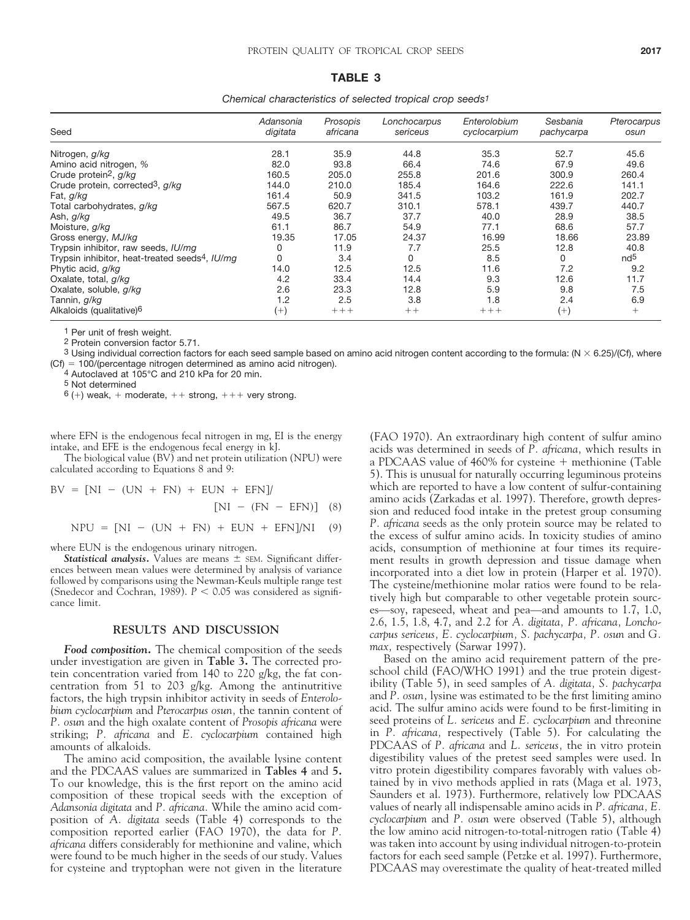*Chemical characteristics of selected tropical crop seeds1*

| Seed                                                       | Adansonia<br>digitata | Prosopis<br>africana | Lonchocarpus<br>sericeus | Enterolobium<br>cyclocarpium | Sesbania<br>pachycarpa | Pterocarpus<br>osun |
|------------------------------------------------------------|-----------------------|----------------------|--------------------------|------------------------------|------------------------|---------------------|
| Nitrogen, g/kg                                             | 28.1                  | 35.9                 | 44.8                     | 35.3                         | 52.7                   | 45.6                |
| Amino acid nitrogen, %                                     | 82.0                  | 93.8                 | 66.4                     | 74.6                         | 67.9                   | 49.6                |
| Crude protein <sup>2</sup> , <i>q/kq</i>                   | 160.5                 | 205.0                | 255.8                    | 201.6                        | 300.9                  | 260.4               |
| Crude protein, corrected <sup>3</sup> , q/kq               | 144.0                 | 210.0                | 185.4                    | 164.6                        | 222.6                  | 141.1               |
| Fat, g/kg                                                  | 161.4                 | 50.9                 | 341.5                    | 103.2                        | 161.9                  | 202.7               |
| Total carbohydrates, g/kg                                  | 567.5                 | 620.7                | 310.1                    | 578.1                        | 439.7                  | 440.7               |
| Ash, g/kg                                                  | 49.5                  | 36.7                 | 37.7                     | 40.0                         | 28.9                   | 38.5                |
| Moisture, g/kg                                             | 61.1                  | 86.7                 | 54.9                     | 77.1                         | 68.6                   | 57.7                |
| Gross energy, MJ/kg                                        | 19.35                 | 17.05                | 24.37                    | 16.99                        | 18.66                  | 23.89               |
| Trypsin inhibitor, raw seeds, IU/mq                        | 0                     | 11.9                 | 7.7                      | 25.5                         | 12.8                   | 40.8                |
| Trypsin inhibitor, heat-treated seeds <sup>4</sup> , IU/mq | 0                     | 3.4                  | 0                        | 8.5                          | 0                      | nd <sup>5</sup>     |
| Phytic acid, g/kg                                          | 14.0                  | 12.5                 | 12.5                     | 11.6                         | 7.2                    | 9.2                 |
| Oxalate, total, g/kg                                       | 4.2                   | 33.4                 | 14.4                     | 9.3                          | 12.6                   | 11.7                |
| Oxalate, soluble, g/kg                                     | 2.6                   | 23.3                 | 12.8                     | 5.9                          | 9.8                    | 7.5                 |
| Tannin, g/kg                                               | 1.2                   | 2.5                  | 3.8                      | 1.8                          | 2.4                    | 6.9                 |
| Alkaloids (qualitative) <sup>6</sup>                       | $^{(+)}$              | $++++$               | $++$                     | $++++$                       | $^{(+)}$               | $^{+}$              |

1 Per unit of fresh weight.

2 Protein conversion factor 5.71.

3 Using individual correction factors for each seed sample based on amino acid nitrogen content according to the formula:  $(N \times 6.25)/(Cf)$ , where  $(Cf) = 100/(percent)$  nitrogen determined as amino acid nitrogen).

4 Autoclaved at 105°C and 210 kPa for 20 min.

5 Not determined

 $6$  (+) weak, + moderate, ++ strong, +++ very strong.

where EFN is the endogenous fecal nitrogen in mg, EI is the energy intake, and EFE is the endogenous fecal energy in kJ.

The biological value (BV) and net protein utilization (NPU) were calculated according to Equations 8 and 9:

$$
BV = [NI - (UN + FN) + EUN + EFN]/
$$
  

$$
[NI - (FN - EFN)]
$$
 (8)

 $NPU = [NI - (UN + FN) + EUN + EFN]/NI$  (9)

where EUN is the endogenous urinary nitrogen.

**Statistical analysis.** Values are means  $\pm$  SEM. Significant differences between mean values were determined by analysis of variance followed by comparisons using the Newman-Keuls multiple range test (Snedecor and Cochran, 1989).  $P < 0.05$  was considered as significance limit.

## **RESULTS AND DISCUSSION**

*Food composition.* The chemical composition of the seeds under investigation are given in **Table 3.** The corrected protein concentration varied from 140 to 220 g/kg, the fat concentration from 51 to 203 g/kg. Among the antinutritive factors, the high trypsin inhibitor activity in seeds of *Enterolobium cyclocarpium* and *Pterocarpus osun,* the tannin content of *P. osun* and the high oxalate content of *Prosopis africana* were striking; *P. africana* and *E. cyclocarpium* contained high amounts of alkaloids.

The amino acid composition, the available lysine content and the PDCAAS values are summarized in **Tables 4** and **5.** To our knowledge, this is the first report on the amino acid composition of these tropical seeds with the exception of *Adansonia digitata* and *P. africana.* While the amino acid composition of *A. digitata* seeds (Table 4) corresponds to the composition reported earlier (FAO 1970), the data for *P. africana* differs considerably for methionine and valine, which were found to be much higher in the seeds of our study. Values for cysteine and tryptophan were not given in the literature

(FAO 1970). An extraordinary high content of sulfur amino acids was determined in seeds of *P. africana,* which results in a PDCAAS value of  $460\%$  for cysteine  $+$  methionine (Table 5). This is unusual for naturally occurring leguminous proteins which are reported to have a low content of sulfur-containing amino acids (Zarkadas et al. 1997). Therefore, growth depression and reduced food intake in the pretest group consuming *P. africana* seeds as the only protein source may be related to the excess of sulfur amino acids. In toxicity studies of amino acids, consumption of methionine at four times its requirement results in growth depression and tissue damage when incorporated into a diet low in protein (Harper et al. 1970). The cysteine/methionine molar ratios were found to be relatively high but comparable to other vegetable protein sources—soy, rapeseed, wheat and pea—and amounts to 1.7, 1.0, 2.6, 1.5, 1.8, 4.7, and 2.2 for *A. digitata, P. africana, Lonchocarpus sericeus, E. cyclocarpium, S. pachycarpa, P. osun* and *G. max,* respectively (Sarwar 1997).

Based on the amino acid requirement pattern of the preschool child (FAO/WHO 1991) and the true protein digestibility (Table 5), in seed samples of *A. digitata, S. pachycarpa* and *P. osun,* lysine was estimated to be the first limiting amino acid. The sulfur amino acids were found to be first-limiting in seed proteins of *L. sericeus* and *E. cyclocarpium* and threonine in *P. africana,* respectively (Table 5). For calculating the PDCAAS of *P. africana* and *L. sericeus,* the in vitro protein digestibility values of the pretest seed samples were used. In vitro protein digestibility compares favorably with values obtained by in vivo methods applied in rats (Maga et al. 1973, Saunders et al. 1973). Furthermore, relatively low PDCAAS values of nearly all indispensable amino acids in *P. africana, E. cyclocarpium* and *P. osun* were observed (Table 5), although the low amino acid nitrogen-to-total-nitrogen ratio (Table 4) was taken into account by using individual nitrogen-to-protein factors for each seed sample (Petzke et al. 1997). Furthermore, PDCAAS may overestimate the quality of heat-treated milled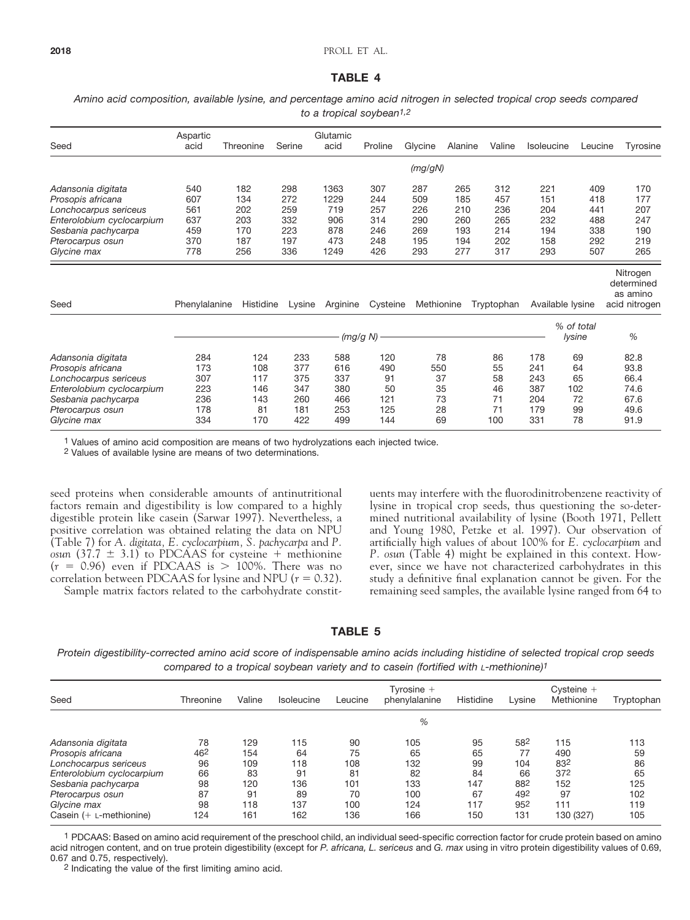*Amino acid composition, available lysine, and percentage amino acid nitrogen in selected tropical crop seeds compared to a tropical soybean1,2*

| Seed                                                                                                                                                    | Aspartic<br>acid                              | Threonine                                     | Serine                                        | Glutamic<br>acid                                 | Proline                                       | Glycine                                       | Alanine                                       | Valine                                        | Isoleucine                                    | Leucine                                       | Tyrosine                                             |
|---------------------------------------------------------------------------------------------------------------------------------------------------------|-----------------------------------------------|-----------------------------------------------|-----------------------------------------------|--------------------------------------------------|-----------------------------------------------|-----------------------------------------------|-----------------------------------------------|-----------------------------------------------|-----------------------------------------------|-----------------------------------------------|------------------------------------------------------|
|                                                                                                                                                         |                                               |                                               |                                               |                                                  |                                               | (mg/gN)                                       |                                               |                                               |                                               |                                               |                                                      |
| Adansonia digitata<br>Prosopis africana<br>Lonchocarpus sericeus<br>Enterolobium cyclocarpium<br>Sesbania pachycarpa<br>Pterocarpus osun<br>Glycine max | 540<br>607<br>561<br>637<br>459<br>370<br>778 | 182<br>134<br>202<br>203<br>170<br>187<br>256 | 298<br>272<br>259<br>332<br>223<br>197<br>336 | 1363<br>1229<br>719<br>906<br>878<br>473<br>1249 | 307<br>244<br>257<br>314<br>246<br>248<br>426 | 287<br>509<br>226<br>290<br>269<br>195<br>293 | 265<br>185<br>210<br>260<br>193<br>194<br>277 | 312<br>457<br>236<br>265<br>214<br>202<br>317 | 221<br>151<br>204<br>232<br>194<br>158<br>293 | 409<br>418<br>441<br>488<br>338<br>292<br>507 | 170<br>177<br>207<br>247<br>190<br>219<br>265        |
| Seed                                                                                                                                                    | Phenylalanine                                 | Histidine                                     | Lysine                                        | Arginine                                         | Cysteine                                      | Methionine                                    |                                               | Tryptophan                                    | Available lysine                              |                                               | Nitrogen<br>determined<br>as amino<br>acid nitrogen  |
|                                                                                                                                                         |                                               |                                               |                                               |                                                  | (mg/g N)                                      |                                               |                                               |                                               |                                               | % of total<br>lysine                          | $\%$                                                 |
| Adansonia digitata<br>Prosopis africana<br>Lonchocarpus sericeus<br>Enterolobium cyclocarpium<br>Sesbania pachycarpa<br>Pterocarpus osun<br>Glycine max | 284<br>173<br>307<br>223<br>236<br>178<br>334 | 124<br>108<br>117<br>146<br>143<br>81<br>170  | 233<br>377<br>375<br>347<br>260<br>181<br>422 | 588<br>616<br>337<br>380<br>466<br>253<br>499    | 120<br>490<br>91<br>50<br>121<br>125<br>144   | 78<br>550<br>37<br>35<br>73<br>28<br>69       |                                               | 86<br>55<br>58<br>46<br>71<br>71<br>100       | 178<br>241<br>243<br>387<br>204<br>179<br>331 | 69<br>64<br>65<br>102<br>72<br>99<br>78       | 82.8<br>93.8<br>66.4<br>74.6<br>67.6<br>49.6<br>91.9 |

1 Values of amino acid composition are means of two hydrolyzations each injected twice.

2 Values of available lysine are means of two determinations.

seed proteins when considerable amounts of antinutritional factors remain and digestibility is low compared to a highly digestible protein like casein (Sarwar 1997). Nevertheless, a positive correlation was obtained relating the data on NPU (Table 7) for *A. digitata, E. cyclocarpium, S. pachycarpa* and *P. osun*  $(37.7 \pm 3.1)$  to PDCAAS for cysteine + methionine  $(r = 0.96)$  even if PDCAAS is  $> 100\%$ . There was no correlation between PDCAAS for lysine and NPU ( $r = 0.32$ ).

Sample matrix factors related to the carbohydrate constit-

uents may interfere with the fluorodinitrobenzene reactivity of lysine in tropical crop seeds, thus questioning the so-determined nutritional availability of lysine (Booth 1971, Pellett and Young 1980, Petzke et al. 1997). Our observation of artificially high values of about 100% for *E. cyclocarpium* and *P. osun* (Table 4) might be explained in this context. However, since we have not characterized carbohydrates in this study a definitive final explanation cannot be given. For the remaining seed samples, the available lysine ranged from 64 to

## **TABLE 5**

*Protein digestibility-corrected amino acid score of indispensable amino acids including histidine of selected tropical crop seeds compared to a tropical soybean variety and to casein (fortified with L-methionine)1*

| Seed                      | Threonine | Valine | Isoleucine | Leucine | Tyrosine $+$<br>phenylalanine | Histidine | Lysine | Cysteine $+$<br>Methionine | Tryptophan |
|---------------------------|-----------|--------|------------|---------|-------------------------------|-----------|--------|----------------------------|------------|
|                           |           |        |            |         | $\%$                          |           |        |                            |            |
| Adansonia digitata        | 78        | 129    | 115        | 90      | 105                           | 95        | 582    | 115                        | 113        |
| Prosopis africana         | 462       | 154    | 64         | 75      | 65                            | 65        | 77     | 490                        | 59         |
| Lonchocarpus sericeus     | 96        | 109    | 118        | 108     | 132                           | 99        | 104    | 832                        | 86         |
| Enterolobium cyclocarpium | 66        | 83     | 91         | 81      | 82                            | 84        | 66     | 372                        | 65         |
| Sesbania pachycarpa       | 98        | 120    | 136        | 101     | 133                           | 147       | 882    | 152                        | 125        |
| Pterocarpus osun          | 87        | 91     | 89         | 70      | 100                           | 67        | 492    | 97                         | 102        |
| Glycine max               | 98        | 118    | 137        | 100     | 124                           | 117       | 952    | 111                        | 119        |
| Casein $(+$ L-methionine) | 124       | 161    | 162        | 136     | 166                           | 150       | 131    | 130 (327)                  | 105        |

1 PDCAAS: Based on amino acid requirement of the preschool child, an individual seed-specific correction factor for crude protein based on amino acid nitrogen content, and on true protein digestibility (except for *P. africana, L. sericeus* and *G. max* using in vitro protein digestibility values of 0.69, 0.67 and 0.75, respectively).

2 Indicating the value of the first limiting amino acid.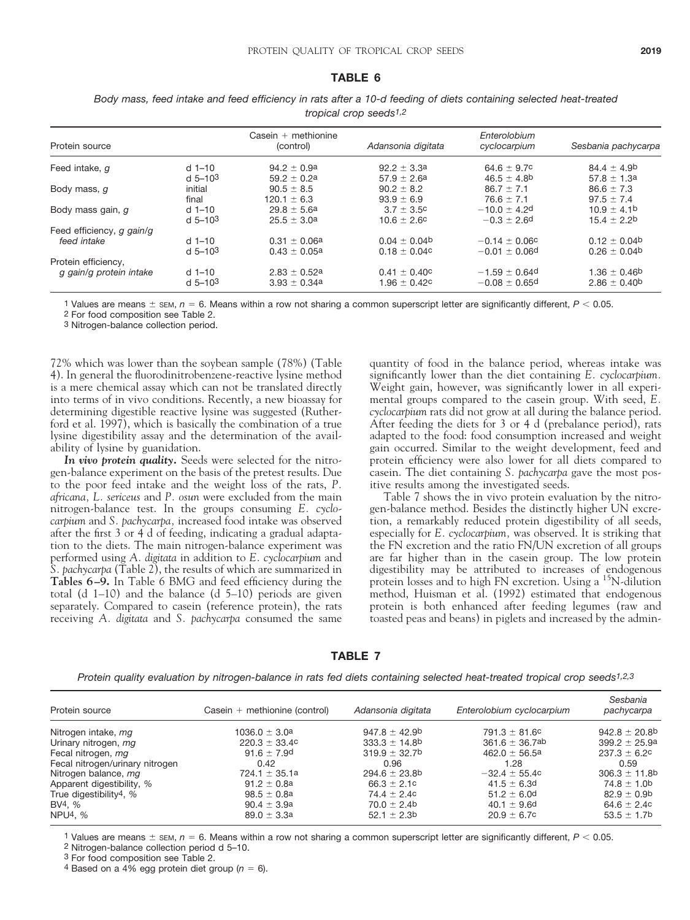#### Protein source Casein  $+$  methionine (control) *Adansonia digitata Enterolobium cyclocarpium Sesbania pachycarpa* Feed intake, *g* d 1–10 94.2 6 0.9a 92.2 6 3.3a 64.6 6 9.7c 84.4 6 4.9b d 5–10<sup>3</sup> 59.2 ± 0.2a 57.9 ± 2.6a 46.5 ± 4.8b 57.8 ± 1.3a Body mass, *g* initial 90.5  $\pm$  8.5 90.2  $\pm$  8.2 86.7  $\pm$  7.1 86.6  $\pm$  7.3 final 120.1  $\pm$  6.3 93.9  $\pm$  6.9 76.6  $\pm$  7.1 97.5  $\pm$  7.4 Body mass gain, *g* d 1–10  $29.8 \pm 5.6a$   $3.7 \pm 3.5c$   $-10.0 \pm 4.2d$   $10.9 \pm 4.1b$ <br>d 5–10<sup>3</sup>  $25.5 \pm 3.0a$   $10.6 \pm 2.6c$   $-0.3 \pm 2.6d$   $15.4 \pm 2.2b$ d 5–103 25.5  $\pm$  3.0a 10.6  $\pm$  2.6c  $-0.3 \pm 2.6$ d 15.4  $\pm$  2.2b Feed efficiency, *g gain/g feed intake* d 1–10 0.31 6 0.06a 0.04 6 0.04b 20.14 6 0.06c 0.12 6 0.04b d 5-10<sup>3</sup> 0.43 ± 0.05a 0.18 ± 0.04c - 0.01 ± 0.06d 0.26 ± 0.04b Protein efficiency, *g gain/g protein intake* d 1–10 2.83 6 0.52a 0.41 6 0.40c 21.59 6 0.64d 1.36 6 0.46b  $2.86 \pm 0.40$ <sup>b</sup>

*Body mass, feed intake and feed efficiency in rats after a 10-d feeding of diets containing selected heat-treated tropical crop seeds1,2*

1 Values are means  $\pm$  sEM,  $n = 6$ . Means within a row not sharing a common superscript letter are significantly different,  $P < 0.05$ .

2 For food composition see Table 2.

3 Nitrogen-balance collection period.

72% which was lower than the soybean sample (78%) (Table 4). In general the fluorodinitrobenzene-reactive lysine method is a mere chemical assay which can not be translated directly into terms of in vivo conditions. Recently, a new bioassay for determining digestible reactive lysine was suggested (Rutherford et al. 1997), which is basically the combination of a true lysine digestibility assay and the determination of the availability of lysine by guanidation.

*In vivo protein quality.* Seeds were selected for the nitrogen-balance experiment on the basis of the pretest results. Due to the poor feed intake and the weight loss of the rats, *P. africana, L. sericeus* and *P. osun* were excluded from the main nitrogen-balance test. In the groups consuming *E. cyclocarpium* and *S. pachycarpa,* increased food intake was observed after the first 3 or 4 d of feeding, indicating a gradual adaptation to the diets. The main nitrogen-balance experiment was performed using *A. digitata* in addition to *E. cyclocarpium* and *S. pachycarpa* (Table 2), the results of which are summarized in **Tables 6–9.** In Table 6 BMG and feed efficiency during the total (d 1–10) and the balance (d 5–10) periods are given separately. Compared to casein (reference protein), the rats receiving *A. digitata* and *S. pachycarpa* consumed the same quantity of food in the balance period, whereas intake was significantly lower than the diet containing *E. cyclocarpium.* Weight gain, however, was significantly lower in all experimental groups compared to the casein group. With seed, *E. cyclocarpium* rats did not grow at all during the balance period. After feeding the diets for 3 or 4 d (prebalance period), rats adapted to the food: food consumption increased and weight gain occurred. Similar to the weight development, feed and protein efficiency were also lower for all diets compared to casein. The diet containing *S. pachycarpa* gave the most positive results among the investigated seeds.

Table 7 shows the in vivo protein evaluation by the nitrogen-balance method. Besides the distinctly higher UN excretion, a remarkably reduced protein digestibility of all seeds, especially for *E. cyclocarpium,* was observed. It is striking that the FN excretion and the ratio FN/UN excretion of all groups are far higher than in the casein group. The low protein digestibility may be attributed to increases of endogenous protein losses and to high FN excretion. Using a <sup>15</sup>N-dilution method, Huisman et al. (1992) estimated that endogenous protein is both enhanced after feeding legumes (raw and toasted peas and beans) in piglets and increased by the admin-

**TABLE 7**

*Protein quality evaluation by nitrogen-balance in rats fed diets containing selected heat-treated tropical crop seeds1,2,3*

| Protein source                        | Casein $+$ methionine (control) | Adansonia digitata | Enterolobium cyclocarpium | Sesbania<br>pachycarpa |
|---------------------------------------|---------------------------------|--------------------|---------------------------|------------------------|
| Nitrogen intake, mg                   | $1036.0 \pm 3.08$               | $947.8 \pm 42.9$ b | $791.3 \pm 81.6$ c        | $942.8 \pm 20.8$       |
| Urinary nitrogen, mg                  | $220.3 \pm 33.4$ c              | $333.3 \pm 14.8$ b | $361.6 \pm 36.7$ ab       | $399.2 \pm 25.9$ a     |
| Fecal nitrogen, mg                    | $91.6 \pm 7.9$ d                | $319.9 \pm 32.7$ b | $462.0 \pm 56.5a$         | $237.3 \pm 6.2c$       |
| Fecal nitrogen/urinary nitrogen       | 0.42                            | 0.96               | 1.28                      | 0.59                   |
| Nitrogen balance, mg                  | $724.1 \pm 35.1a$               | $294.6 \pm 23.8$ b | $-32.4 \pm 55.4c$         | $306.3 \pm 11.8$ b     |
| Apparent digestibility, %             | $91.2 \pm 0.8a$                 | $66.3 \pm 2.1$ °   | $41.5 \pm 6.3$ d          | $74.8 \pm 1.0$ b       |
| True digestibility <sup>4</sup> , $%$ | $98.5 \pm 0.8a$                 | $74.4 \pm 2.4$ c   | $51.2 \pm 6.0$ d          | $82.9 \pm 0.9$         |
| $BV4$ . %                             | $90.4 \pm 3.9^{\circ}$          | $70.0 \pm 2.4$ b   | $40.1 \pm 9.6$ d          | $64.6 \pm 2.4$ c       |
| NPU <sup>4</sup> , $%$                | $89.0 \pm 3.3a$                 | $52.1 \pm 2.3$ b   | $20.9 \pm 6.7$ c          | 53.5 $\pm$ 1.7b        |

1 Values are means  $\pm$  sem,  $n = 6$ . Means within a row not sharing a common superscript letter are significantly different,  $P < 0.05$ .

2 Nitrogen-balance collection period d 5–10.

3 For food composition see Table 2.

 $4$  Based on a 4% egg protein diet group ( $n = 6$ ).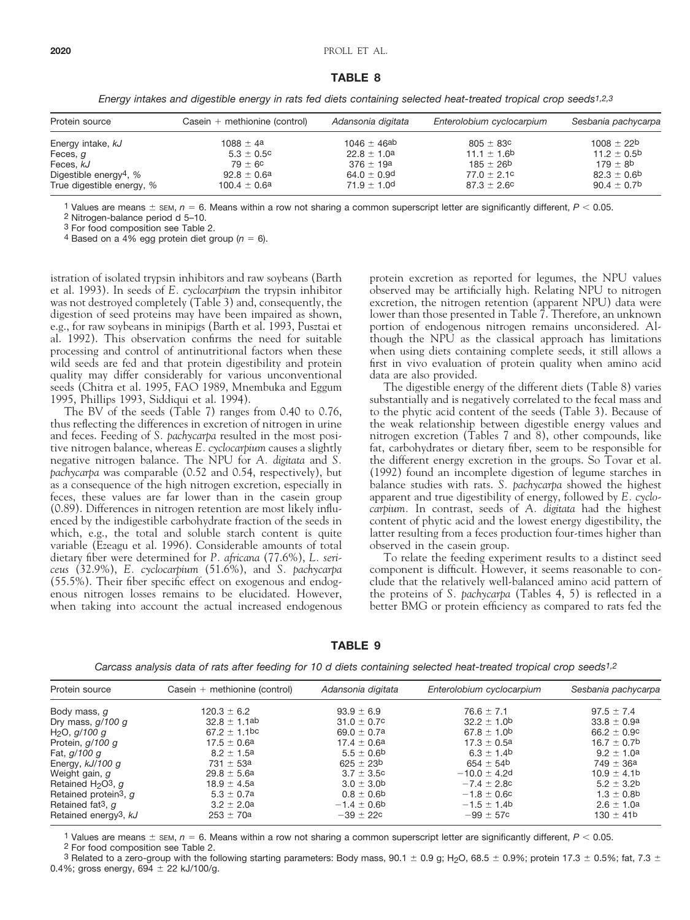*Energy intakes and digestible energy in rats fed diets containing selected heat-treated tropical crop seeds1,2,3*

| Protein source                       | Casein + methionine (control) | Adansonia digitata | Enterolobium cyclocarpium   | Sesbania pachycarpa |
|--------------------------------------|-------------------------------|--------------------|-----------------------------|---------------------|
| Energy intake, kJ                    | $1088 \pm 4a$                 | 1046 $\pm$ 46ab    | $805 \pm 83$ c              | $1008 + 22b$        |
| Feces, g                             | $5.3 \pm 0.5$ c               | $22.8 \pm 1.08$    | 11.1 $\pm$ 1.6 <sup>b</sup> | $11.2 \pm 0.5$      |
| Feces, kJ                            | $79 + 60$                     | $376 + 19a$        | $185 \pm 26$                | $179 + 8b$          |
| Digestible energy <sup>4</sup> , $%$ | $92.8 \pm 0.6^{\circ}$        | $64.0 \pm 0.9$ d   | $77.0 \pm 2.1$ c            | $82.3 \pm 0.6$ b    |
| True digestible energy, %            | 100.4 $\pm$ 0.6a              | $71.9 \pm 1.0$ d   | $87.3 \pm 2.6^{\circ}$      | $90.4 \pm 0.7$ b    |

1 Values are means  $\pm$  sEM,  $n = 6$ . Means within a row not sharing a common superscript letter are significantly different,  $P < 0.05$ .

2 Nitrogen-balance period d 5–10.

3 For food composition see Table 2.

4 Based on a 4% egg protein diet group  $(n = 6)$ .

istration of isolated trypsin inhibitors and raw soybeans (Barth et al. 1993). In seeds of *E. cyclocarpium* the trypsin inhibitor was not destroyed completely (Table 3) and, consequently, the digestion of seed proteins may have been impaired as shown, e.g., for raw soybeans in minipigs (Barth et al. 1993, Pusztai et al. 1992). This observation confirms the need for suitable processing and control of antinutritional factors when these wild seeds are fed and that protein digestibility and protein quality may differ considerably for various unconventional seeds (Chitra et al. 1995, FAO 1989, Mnembuka and Eggum 1995, Phillips 1993, Siddiqui et al. 1994).

The BV of the seeds (Table 7) ranges from 0.40 to 0.76, thus reflecting the differences in excretion of nitrogen in urine and feces. Feeding of *S. pachycarpa* resulted in the most positive nitrogen balance, whereas *E. cyclocarpium* causes a slightly negative nitrogen balance. The NPU for *A. digitata* and *S. pachycarpa* was comparable (0.52 and 0.54, respectively), but as a consequence of the high nitrogen excretion, especially in feces, these values are far lower than in the casein group (0.89). Differences in nitrogen retention are most likely influenced by the indigestible carbohydrate fraction of the seeds in which, e.g., the total and soluble starch content is quite variable (Ezeagu et al. 1996). Considerable amounts of total dietary fiber were determined for *P. africana* (77.6%), *L. sericeus* (32.9%), *E. cyclocarpium* (51.6%), and *S. pachycarpa* (55.5%). Their fiber specific effect on exogenous and endogenous nitrogen losses remains to be elucidated. However, when taking into account the actual increased endogenous protein excretion as reported for legumes, the NPU values observed may be artificially high. Relating NPU to nitrogen excretion, the nitrogen retention (apparent NPU) data were lower than those presented in Table 7. Therefore, an unknown portion of endogenous nitrogen remains unconsidered. Although the NPU as the classical approach has limitations when using diets containing complete seeds, it still allows a first in vivo evaluation of protein quality when amino acid data are also provided.

The digestible energy of the different diets (Table 8) varies substantially and is negatively correlated to the fecal mass and to the phytic acid content of the seeds (Table 3). Because of the weak relationship between digestible energy values and nitrogen excretion (Tables 7 and 8), other compounds, like fat, carbohydrates or dietary fiber, seem to be responsible for the different energy excretion in the groups. So Tovar et al. (1992) found an incomplete digestion of legume starches in balance studies with rats. *S. pachycarpa* showed the highest apparent and true digestibility of energy, followed by *E. cyclocarpium.* In contrast, seeds of *A. digitata* had the highest content of phytic acid and the lowest energy digestibility, the latter resulting from a feces production four-times higher than observed in the casein group.

To relate the feeding experiment results to a distinct seed component is difficult. However, it seems reasonable to conclude that the relatively well-balanced amino acid pattern of the proteins of *S. pachycarpa* (Tables 4, 5) is reflected in a better BMG or protein efficiency as compared to rats fed the

| ч<br>u<br>L. |  |
|--------------|--|
|--------------|--|

*Carcass analysis data of rats after feeding for 10 d diets containing selected heat-treated tropical crop seeds1,2*

| Protein source                    | Casein $+$ methionine (control) | Adansonia digitata         | Enterolobium cyclocarpium   | Sesbania pachycarpa         |
|-----------------------------------|---------------------------------|----------------------------|-----------------------------|-----------------------------|
| Body mass, g                      | $120.3 \pm 6.2$                 | $93.9 \pm 6.9$             | $76.6 \pm 7.1$              | $97.5 \pm 7.4$              |
| Dry mass, $g/100 g$               | $32.8 \pm 1.1$ ab               | $31.0 \pm 0.7$ c           | $32.2 \pm 1.0$ b            | $33.8 \pm 0.9a$             |
| H <sub>2</sub> O, g/100 g         | $67.2 \pm 1.1$ bc               | $69.0 \pm 0.7a$            | 67.8 $\pm$ 1.0 <sup>b</sup> | 66.2 $\pm$ 0.9 <sup>c</sup> |
| Protein, g/100 g                  | $17.5 \pm 0.6a$                 | $17.4 \pm 0.6a$            | $17.3 \pm 0.5^{\circ}$      | $16.7 \pm 0.7$ <sup>b</sup> |
| Fat, g/100 g                      | $8.2 \pm 1.5a$                  | $5.5 \pm 0.6$ b            | $6.3 \pm 1.4$ b             | $9.2 \pm 1.0a$              |
| Energy, kJ/100 g                  | 731 $\pm$ 53a                   | $625 \pm 23b$              | $654 \pm 54$                | $749 \pm 36a$               |
| Weight gain, g                    | $29.8 \pm 5.6^{\circ}$          | $3.7 \pm 3.5^{\circ}$      | $-10.0 \pm 4.2$ d           | $10.9 \pm 4.1$ <sup>b</sup> |
| Retained $H_2O^3$ , g             | $18.9 \pm 4.5^{\circ}$          | $3.0 \pm 3.0$ <sup>b</sup> | $-7.4 \pm 2.8$ c            | $5.2 \pm 3.2$               |
| Retained protein <sup>3</sup> , g | $5.3 \pm 0.7a$                  | $0.8 \pm 0.6$ <sup>b</sup> | $-1.8 \pm 0.6$ c            | $1.3 \pm 0.8$ b             |
| Retained fat <sup>3</sup> , g     | $3.2 \pm 2.0^{\circ}$           | $-1.4 \pm 0.6$ b           | $-1.5 \pm 1.4$ b            | $2.6 \pm 1.0a$              |
| Retained energy <sup>3</sup> , kJ | $253 \pm 70a$                   | $-39 \pm 22$ c             | $-99 \pm 57c$               | $130 \pm 41$                |

1 Values are means  $\pm$  sem,  $n = 6$ . Means within a row not sharing a common superscript letter are significantly different,  $P < 0.05$ .

2 For food composition see Table 2.

<sup>3</sup> Related to a zero-group with the following starting parameters: Body mass, 90.1  $\pm$  0.9 g; H<sub>2</sub>O, 68.5  $\pm$  0.9%; protein 17.3  $\pm$  0.5%; fat, 7.3  $\pm$ 0.4%; gross energy,  $694 \pm 22$  kJ/100/g.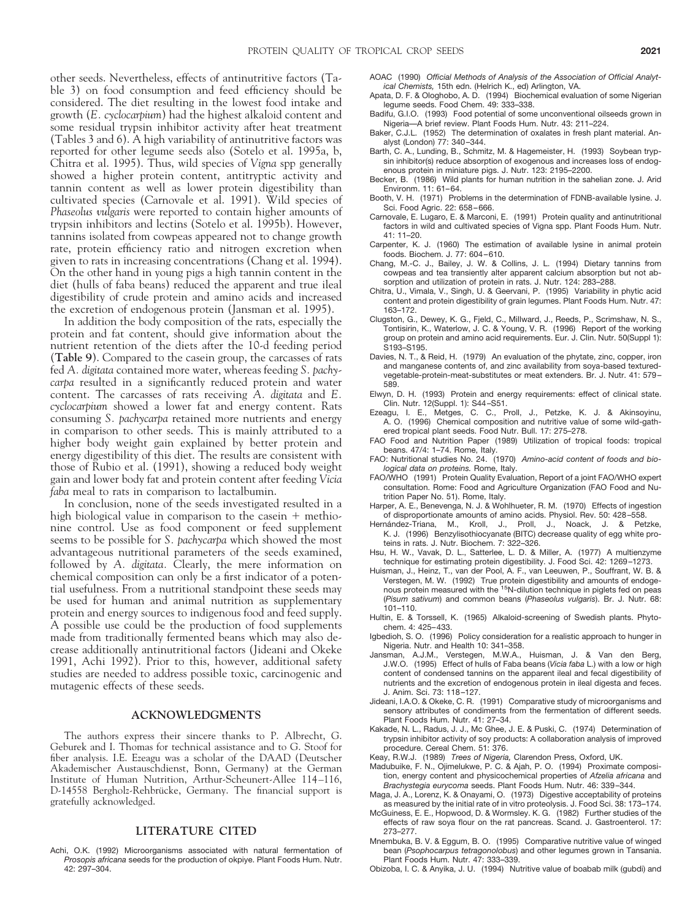other seeds. Nevertheless, effects of antinutritive factors (Table 3) on food consumption and feed efficiency should be considered. The diet resulting in the lowest food intake and growth (*E. cyclocarpium*) had the highest alkaloid content and some residual trypsin inhibitor activity after heat treatment (Tables 3 and 6). A high variability of antinutritive factors was reported for other legume seeds also (Sotelo et al. 1995a, b, Chitra et al. 1995). Thus, wild species of *Vigna* spp generally showed a higher protein content, antitryptic activity and tannin content as well as lower protein digestibility than cultivated species (Carnovale et al. 1991). Wild species of *Phaseolus vulgaris* were reported to contain higher amounts of trypsin inhibitors and lectins (Sotelo et al. 1995b). However, tannins isolated from cowpeas appeared not to change growth rate, protein efficiency ratio and nitrogen excretion when given to rats in increasing concentrations (Chang et al. 1994). On the other hand in young pigs a high tannin content in the diet (hulls of faba beans) reduced the apparent and true ileal digestibility of crude protein and amino acids and increased the excretion of endogenous protein (Jansman et al. 1995).

In addition the body composition of the rats, especially the protein and fat content, should give information about the nutrient retention of the diets after the 10-d feeding period (**Table 9**). Compared to the casein group, the carcasses of rats fed *A. digitata* contained more water, whereas feeding *S. pachycarpa* resulted in a significantly reduced protein and water content. The carcasses of rats receiving *A. digitata* and *E. cyclocarpium* showed a lower fat and energy content. Rats consuming *S. pachycarpa* retained more nutrients and energy in comparison to other seeds. This is mainly attributed to a higher body weight gain explained by better protein and energy digestibility of this diet. The results are consistent with those of Rubio et al. (1991), showing a reduced body weight gain and lower body fat and protein content after feeding *Vicia faba* meal to rats in comparison to lactalbumin.

In conclusion, none of the seeds investigated resulted in a high biological value in comparison to the case in  $+$  methionine control. Use as food component or feed supplement seems to be possible for *S. pachycarpa* which showed the most advantageous nutritional parameters of the seeds examined, followed by *A. digitata.* Clearly, the mere information on chemical composition can only be a first indicator of a potential usefulness. From a nutritional standpoint these seeds may be used for human and animal nutrition as supplementary protein and energy sources to indigenous food and feed supply. A possible use could be the production of food supplements made from traditionally fermented beans which may also decrease additionally antinutritional factors (Jideani and Okeke 1991, Achi 1992). Prior to this, however, additional safety studies are needed to address possible toxic, carcinogenic and mutagenic effects of these seeds.

#### **ACKNOWLEDGMENTS**

The authors express their sincere thanks to P. Albrecht, G. Geburek and I. Thomas for technical assistance and to G. Stoof for fiber analysis. I.E. Ezeagu was a scholar of the DAAD (Deutscher Akademischer Austauschdienst, Bonn, Germany) at the German Institute of Human Nutrition, Arthur-Scheunert-Allee 114–116, D-14558 Bergholz-Rehbrücke, Germany. The financial support is gratefully acknowledged.

#### **LITERATURE CITED**

Achi, O.K. (1992) Microorganisms associated with natural fermentation of *Prosopis africana* seeds for the production of okpiye. Plant Foods Hum. Nutr. 42: 297–304.

- AOAC (1990) *Official Methods of Analysis of the Association of Official Analytical Chemists,* 15th edn. (Helrich K., ed) Arlington, VA.
- Apata, D. F. & Ologhobo, A. D. (1994) Biochemical evaluation of some Nigerian legume seeds. Food Chem. 49: 333–338.
- Badifu, G.I.O. (1993) Food potential of some unconventional oilseeds grown in Nigeria—A brief review. Plant Foods Hum. Nutr. 43: 211–224.
- Baker, C.J.L. (1952) The determination of oxalates in fresh plant material. Analyst (London) 77: 340–344.
- Barth, C. A., Lunding, B., Schmitz, M. & Hagemeister, H. (1993) Soybean trypsin inhibitor(s) reduce absorption of exogenous and increases loss of endogenous protein in miniature pigs. J. Nutr. 123: 2195–2200.
- Becker, B. (1986) Wild plants for human nutrition in the sahelian zone. J. Arid Environm. 11: 61–64.
- Booth, V. H. (1971) Problems in the determination of FDNB-available lysine. J. Sci. Food Agric. 22: 658–666.
- Carnovale, E. Lugaro, E. & Marconi, E. (1991) Protein quality and antinutritional factors in wild and cultivated species of Vigna spp. Plant Foods Hum. Nutr. 41: 11–20.
- Carpenter, K. J. (1960) The estimation of available lysine in animal protein foods. Biochem. J. 77: 604–610.
- Chang, M.-C. J., Bailey, J. W. & Collins, J. L. (1994) Dietary tannins from cowpeas and tea transiently alter apparent calcium absorption but not absorption and utilization of protein in rats. J. Nutr. 124: 283–288.
- Chitra, U., Vimala, V., Singh, U. & Geervani, P. (1995) Variability in phytic acid content and protein digestibility of grain legumes. Plant Foods Hum. Nutr. 47: 163–172.
- Clugston, G., Dewey, K. G., Fjeld, C., Millward, J., Reeds, P., Scrimshaw, N. S., Tontisirin, K., Waterlow, J. C. & Young, V. R. (1996) Report of the working group on protein and amino acid requirements. Eur. J. Clin. Nutr. 50(Suppl 1): S193–S195.
- Davies, N. T., & Reid, H. (1979) An evaluation of the phytate, zinc, copper, iron and manganese contents of, and zinc availability from soya-based texturedvegetable-protein-meat-substitutes or meat extenders. Br. J. Nutr. 41: 579– 589.
- Elwyn, D. H. (1993) Protein and energy requirements: effect of clinical state. Clin. Nutr. 12(Suppl. 1): S44-S51.<br>Ezeagu, I. E., Metges, C. C., P
- Metges, C. C., Proll, J., Petzke, K. J. & Akinsoyinu, A. O. (1996) Chemical composition and nutritive value of some wild-gathered tropical plant seeds. Food Nutr. Bull. 17: 275–278.
- FAO Food and Nutrition Paper (1989) Utilization of tropical foods: tropical beans. 47/4: 1–74. Rome, Italy.
- FAO: Nutritional studies No. 24. (1970) *Amino-acid content of foods and biological data on proteins.* Rome, Italy.
- FAO/WHO (1991) Protein Quality Evaluation, Report of a joint FAO/WHO expert consultation. Rome: Food and Agriculture Organization (FAO Food and Nutrition Paper No. 51). Rome, Italy.
- Harper, A. E., Benevenga, N. J. & Wohlhueter, R. M. (1970) Effects of ingestion of disproportionate amounts of amino acids. Physiol. Rev. 50: 428–558.
- Hernández-Triana, M., Kroll, J., Proll, J., Noack, J. & Petzke, K. J. (1996) Benzylisothiocyanate (BITC) decrease quality of egg white proteins in rats. J. Nutr. Biochem. 7: 322–326.
- Hsu, H. W., Vavak, D. L., Satterlee, L. D. & Miller, A. (1977) A multienzyme technique for estimating protein digestibility. J. Food Sci. 42: 1269–1273.
- Huisman, J., Heinz, T., van der Pool, A. F., van Leeuwen, P., Souffrant, W. B. & Verstegen, M. W. (1992) True protein digestibility and amounts of endoge-<br>nous protein measured with the <sup>15</sup>N-dilution technique in piglets fed on peas (*Pisum sativum*) and common beans (*Phaseolus vulgaris*). Br. J. Nutr. 68: 101–110.
- Hultin, E. & Torssell, K. (1965) Alkaloid-screening of Swedish plants. Phytochem. 4: 425–433.
- Igbedioh, S. O. (1996) Policy consideration for a realistic approach to hunger in Nigeria. Nutr. and Health 10: 341–358.
- Jansman, A.J.M., Verstegen, M.W.A., Huisman, J. & Van den Berg, J.W.O. (1995) Effect of hulls of Faba beans (*Vicia faba* L.) with a low or high content of condensed tannins on the apparent ileal and fecal digestibility of nutrients and the excretion of endogenous protein in ileal digesta and feces. J. Anim. Sci. 73: 118–127.
- Jideani, I.A.O. & Okeke, C. R. (1991) Comparative study of microorganisms and sensory attributes of condiments from the fermentation of different seeds. Plant Foods Hum. Nutr. 41: 27–34.
- Kakade, N. L., Radus, J. J., Mc Ghee, J. E. & Puski, C. (1974) Determination of trypsin inhibitor activity of soy products: A collaboration analysis of improved procedure. Cereal Chem. 51: 376.
- Keay, R.W.J. (1989) *Trees of Nigeria,* Clarendon Press, Oxford, UK.
- Madubuike, F. N., Ojimelukwe, P. C. & Ajah, P. O. (1994) Proximate composition, energy content and physicochemical properties of *Afzelia africana* and *Brachystegia eurycoma* seeds. Plant Foods Hum. Nutr. 46: 339–344.
- Maga, J. A., Lorenz, K. & Onayami, O. (1973) Digestive acceptability of proteins as measured by the initial rate of in vitro proteolysis. J. Food Sci. 38: 173–174.
- McGuiness, E. E., Hopwood, D. & Wormsley. K. G. (1982) Further studies of the effects of raw soya flour on the rat pancreas. Scand. J. Gastroenterol. 17: 273–277.
- Mnembuka, B. V. & Eggum, B. O. (1995) Comparative nutritive value of winged bean (*Psophocarpus tetragonolobus*) and other legumes grown in Tansania. Plant Foods Hum. Nutr. 47: 333–339.
- Obizoba, I. C. & Anyika, J. U. (1994) Nutritive value of boabab milk (gubdi) and